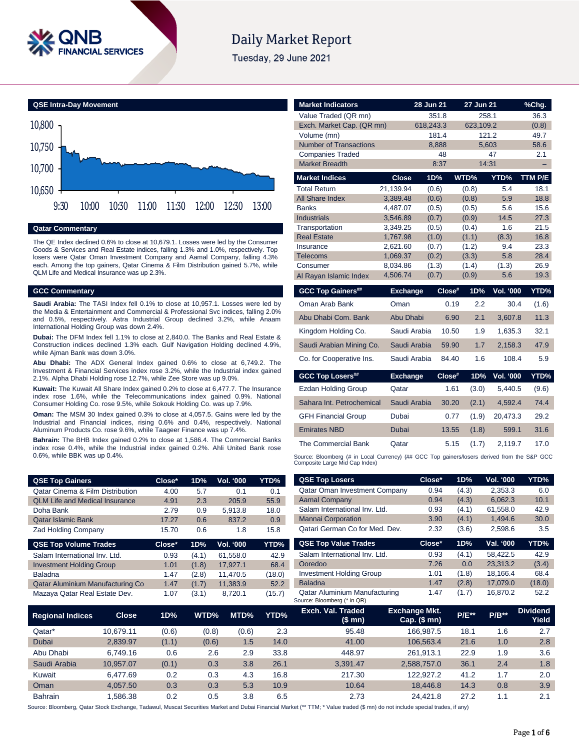

# **Daily Market Report**

Tuesday, 29 June 2021



# **Qatar Commentary**

The QE Index declined 0.6% to close at 10,679.1. Losses were led by the Consumer Goods & Services and Real Estate indices, falling 1.3% and 1.0%, respectively. Top losers were Qatar Oman Investment Company and Aamal Company, falling 4.3% each. Among the top gainers, Qatar Cinema & Film Distribution gained 5.7%, while QLM Life and Medical Insurance was up 2.3%.

# **GCC Commentary**

**Saudi Arabia:** The TASI Index fell 0.1% to close at 10,957.1. Losses were led by the Media & Entertainment and Commercial & Professional Svc indices, falling 2.0% and 0.5%, respectively. Astra Industrial Group declined 3.2%, while Anaam International Holding Group was down 2.4%.

**Dubai:** The DFM Index fell 1.1% to close at 2,840.0. The Banks and Real Estate & Construction indices declined 1.3% each. Gulf Navigation Holding declined 4.9%, while Ajman Bank was down 3.0%.

**Abu Dhabi:** The ADX General Index gained 0.6% to close at 6,749.2. The Investment & Financial Services index rose 3.2%, while the Industrial index gained 2.1%. Alpha Dhabi Holding rose 12.7%, while Zee Store was up 9.0%.

**Kuwait:** The Kuwait All Share Index gained 0.2% to close at 6,477.7. The Insurance index rose 1.6%, while the Telecommunications index gained 0.9%. National Consumer Holding Co. rose 9.5%, while Sokouk Holding Co. was up 7.9%.

**Oman:** The MSM 30 Index gained 0.3% to close at 4,057.5. Gains were led by the Industrial and Financial indices, rising 0.6% and 0.4%, respectively. National Aluminum Products Co. rose 9.6%, while Taageer Finance was up 7.4%.

**Bahrain:** The BHB Index gained 0.2% to close at 1,586.4. The Commercial Banks index rose 0.4%, while the Industrial index gained 0.2%. Ahli United Bank rose 0.6%, while BBK was up 0.4%.

| <b>Market Indicators</b>                                                                                                      |                      | 28 Jun 21      |        | 27 Jun 21      |                               | $%$ Chg.     |
|-------------------------------------------------------------------------------------------------------------------------------|----------------------|----------------|--------|----------------|-------------------------------|--------------|
| Value Traded (QR mn)                                                                                                          |                      | 351.8          |        |                | 258.1                         | 36.3         |
| Exch. Market Cap. (QR mn)                                                                                                     |                      | 618.243.3      |        | 623.109.2      |                               | (0.8)        |
| Volume (mn)                                                                                                                   |                      | 181.4          |        |                | 121.2                         | 49.7         |
| <b>Number of Transactions</b>                                                                                                 |                      | 8,888          |        |                | 5,603                         | 58.6         |
| <b>Companies Traded</b>                                                                                                       |                      |                | 48     |                | 47                            | 2.1          |
| <b>Market Breadth</b>                                                                                                         |                      | 8:37           |        |                | 14:31                         |              |
| <b>Market Indices</b>                                                                                                         | <b>Close</b>         | 1D%            |        | WTD%           | YTD%                          | TTM P/E      |
| <b>Total Return</b>                                                                                                           | 21.139.94            | (0.6)          |        | (0.8)          | 5.4                           | 18.1         |
| All Share Index                                                                                                               | 3,389.48             | (0.6)          |        | (0.8)          | 5.9                           | 18.8         |
| <b>Banks</b>                                                                                                                  | 4.487.07             | (0.5)          |        | (0.5)          | 5.6                           | 15.6         |
| <b>Industrials</b>                                                                                                            | 3,546.89             | (0.7)          |        | (0.9)          | 14.5                          | 27.3         |
| Transportation                                                                                                                | 3,349.25             | (0.5)          |        | (0.4)          | 1.6                           | 21.5         |
| <b>Real Estate</b>                                                                                                            | 1,767.98             | (1.0)          |        | (1.1)          | (8.3)                         | 16.8         |
| Insurance<br><b>Telecoms</b>                                                                                                  | 2,621.60<br>1,069.37 | (0.7)<br>(0.2) |        | (1.2)<br>(3.3) | 9.4<br>5.8                    | 23.3<br>28.4 |
| Consumer                                                                                                                      | 8,034.86             | (1.3)          |        | (1.4)          | (1.3)                         | 26.9         |
| Al Rayan Islamic Index                                                                                                        | 4,506.74             | (0.7)          |        | (0.9)          | 5.6                           | 19.3         |
| <b>GCC Top Gainers##</b>                                                                                                      |                      |                | Close# | 1D%            | <b>Vol. '000</b>              | YTD%         |
|                                                                                                                               | <b>Exchange</b>      |                |        |                |                               |              |
| Oman Arab Bank                                                                                                                | Oman                 |                | 0.19   | 2.2            | 30.4                          | (1.6)        |
| Abu Dhabi Com. Bank                                                                                                           | <b>Abu Dhabi</b>     |                | 6.90   | 2.1            | 3,607.8                       | 11.3         |
| Kinadom Holdina Co.                                                                                                           | Saudi Arabia         |                | 10.50  | 1.9            | 1.635.3                       | 32.1         |
| Saudi Arabian Mining Co.                                                                                                      | Saudi Arabia         |                | 59.90  | 1.7            | 2.158.3                       | 47.9         |
| Co. for Cooperative Ins.                                                                                                      | Saudi Arabia         |                | 84.40  | 1.6            | 108.4                         | 5.9          |
| <b>GCC Top Losers##</b>                                                                                                       | <b>Exchange</b>      |                | Close# | 1D%            | <b>Vol. '000</b>              | YTD%         |
| Ezdan Holding Group                                                                                                           | Qatar                |                | 1.61   | (3.0)          | 5,440.5                       | (9.6)        |
| Sahara Int. Petrochemical                                                                                                     | Saudi Arabia         |                | 30.20  | (2.1)          | 4,592.4                       | 74.4         |
| <b>GFH Financial Group</b>                                                                                                    | Dubai                |                | 0.77   | (1.9)          | 20,473.3                      | 29.2         |
| <b>Emirates NBD</b>                                                                                                           | Dubai                |                | 13.55  | (1.8)          | 599.1                         | 31.6         |
| The Commercial Bank                                                                                                           | Qatar                |                | 5.15   | (1.7)          | 2,119.7                       | 17.0         |
| Source: Bloomberg (# in Local Currency) (## GCC Top gainers/losers derived from the S&P GCC<br>Composite Large Mid Cap Index) |                      |                |        |                |                               |              |
| <b>QSE Top Losers</b>                                                                                                         |                      | Close*         |        | 1D%            | $\overline{\text{Vol.}}$ '000 | YTD%         |

| <b>QSE Top Gainers</b>                      | Close* | 1D% | Vol. '000 | YTD% |
|---------------------------------------------|--------|-----|-----------|------|
| <b>Qatar Cinema &amp; Film Distribution</b> | 4.00   | 5.7 | 0.1       | 0.1  |
| <b>QLM Life and Medical Insurance</b>       | 4.91   | 2.3 | 205.9     | 55.9 |
| Doha Bank                                   | 2.79   | 0.9 | 5.913.8   | 18.0 |
| <b>Qatar Islamic Bank</b>                   | 17.27  | 0.6 | 837.2     | 0.9  |
| <b>Zad Holding Company</b>                  | 15.70  | 0.6 | 1.8       | 15.8 |

| <b>QSE Top Volume Trades</b>     | Close* | 1D%   | <b>Vol. '000</b> | YTD% <sub>.</sub> |
|----------------------------------|--------|-------|------------------|-------------------|
| Salam International Inv. Ltd.    | 0.93   | (4.1) | 61,558.0         | 42.9              |
| <b>Investment Holding Group</b>  | 1.01   | (1.8) | 17.927.1         | 68.4              |
| <b>Baladna</b>                   | 1.47   | (2.8) | 11.470.5         | (18.0)            |
| Qatar Aluminium Manufacturing Co | 1.47   | (1.7) | 11,383.9         | 52.2              |
| Mazaya Qatar Real Estate Dev.    | 1.07   | (3.1) | 8.720.1          | (15.7)            |

| <b>Aamal Company</b>            | 0.94   | (4.3) | 6,062.3   | 10.1   |
|---------------------------------|--------|-------|-----------|--------|
| Salam International Inv. Ltd.   | 0.93   | (4.1) | 61,558.0  | 42.9   |
| <b>Mannai Corporation</b>       | 3.90   | (4.1) | 1,494.6   | 30.0   |
| Qatari German Co for Med. Dev.  | 2.32   | (3.6) | 2,598.6   | 3.5    |
| <b>QSE Top Value Trades</b>     | Close* | 1D%   | Val. '000 | YTD%   |
| Salam International Inv. Ltd.   | 0.93   | (4.1) | 58,422.5  | 42.9   |
| Ooredoo                         | 7.26   | 0.0   | 23,313.2  | (3.4)  |
| <b>Investment Holding Group</b> | 1.01   | (1.8) | 18,166.4  | 68.4   |
| <b>Baladna</b>                  | 1.47   | (2.8) | 17,079.0  | (18.0) |
| Qatar Aluminium Manufacturing   | 1.47   | (1.7) | 16.870.2  | 52.2   |

Qatar Oman Investment Company 0.94 (4.3) 2,353.3 6.0

| <b>Regional Indices</b> | <b>Close</b> | 1D%   | WTD%  | MTD%  | YTD% | Exch. Val. Traded<br>(\$ mn) | <b>Exchange Mkt.</b><br>Cap. $($$ mn $)$ | <b>P/E**</b> | $P/B**$ | <b>Dividend</b><br>Yield |
|-------------------------|--------------|-------|-------|-------|------|------------------------------|------------------------------------------|--------------|---------|--------------------------|
| Qatar*                  | 10.679.11    | (0.6) | (0.8) | (0.6) | 2.3  | 95.48                        | 166.987.5                                | 18.1         | 1.6     | 2.7                      |
| Dubai                   | 2.839.97     | (1.1) | (0.6) | 1.5   | 14.0 | 41.00                        | 106.563.4                                | 21.6         | 1.0     | 2.8                      |
| Abu Dhabi               | 6.749.16     | 0.6   | 2.6   | 2.9   | 33.8 | 448.97                       | 261.913.1                                | 22.9         | 1.9     | 3.6                      |
| Saudi Arabia            | 10.957.07    | (0.1) | 0.3   | 3.8   | 26.1 | 3.391.47                     | 2.588.757.0                              | 36.1         | 2.4     | 1.8                      |
| Kuwait                  | 6.477.69     | 0.2   | 0.3   | 4.3   | 16.8 | 217.30                       | 122.927.2                                | 41.2         | 1.7     | 2.0                      |
| Oman                    | 4.057.50     | 0.3   | 0.3   | 5.3   | 10.9 | 10.64                        | 18,446.8                                 | 14.3         | 0.8     | 3.9                      |
| <b>Bahrain</b>          | .586.38      | 0.2   | 0.5   | 3.8   | 6.5  | 2.73                         | 24.421.8                                 | 27.2         | 1.1     | 2.1                      |

Source: Bloomberg (\* in QR)

Source: Bloomberg, Qatar Stock Exchange, Tadawul, Muscat Securities Market and Dubai Financial Market (\*\* TTM; \* Value traded (\$ mn) do not include special trades, if any)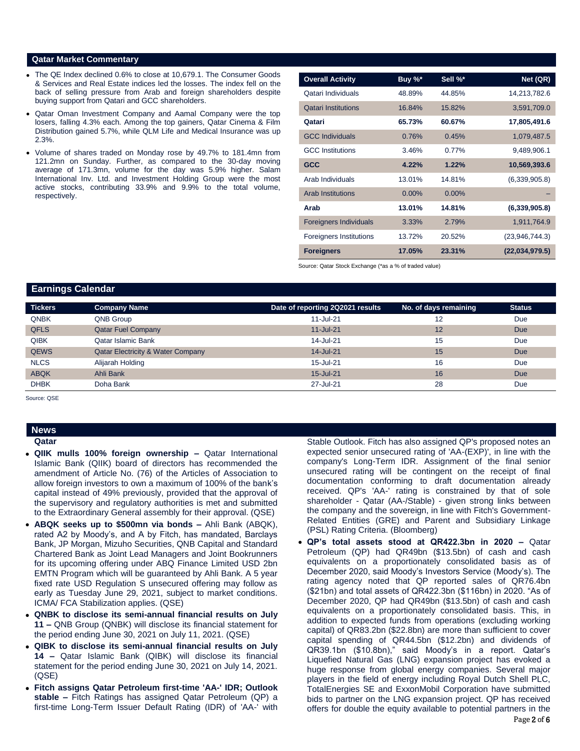### **Qatar Market Commentary**

- The QE Index declined 0.6% to close at 10,679.1. The Consumer Goods & Services and Real Estate indices led the losses. The index fell on the back of selling pressure from Arab and foreign shareholders despite buying support from Qatari and GCC shareholders.
- Qatar Oman Investment Company and Aamal Company were the top losers, falling 4.3% each. Among the top gainers, Qatar Cinema & Film Distribution gained 5.7%, while QLM Life and Medical Insurance was up 2.3%.
- Volume of shares traded on Monday rose by 49.7% to 181.4mn from 121.2mn on Sunday. Further, as compared to the 30-day moving average of 171.3mn, volume for the day was 5.9% higher. Salam International Inv. Ltd. and Investment Holding Group were the most active stocks, contributing 33.9% and 9.9% to the total volume, respectively.

| <b>Overall Activity</b>        | Buy %*   | Sell %*  | Net (QR)       |
|--------------------------------|----------|----------|----------------|
| Qatari Individuals             | 48.89%   | 44.85%   | 14,213,782.6   |
| <b>Qatari Institutions</b>     | 16.84%   | 15.82%   | 3,591,709.0    |
| Qatari                         | 65.73%   | 60.67%   | 17,805,491.6   |
| <b>GCC Individuals</b>         | 0.76%    | 0.45%    | 1,079,487.5    |
| <b>GCC</b> Institutions        | 3.46%    | 0.77%    | 9,489,906.1    |
| <b>GCC</b>                     | 4.22%    | 1.22%    | 10,569,393.6   |
| Arab Individuals               | 13.01%   | 14.81%   | (6,339,905.8)  |
| <b>Arab Institutions</b>       | $0.00\%$ | $0.00\%$ |                |
| Arab                           | 13.01%   | 14.81%   | (6,339,905.8)  |
| <b>Foreigners Individuals</b>  | 3.33%    | 2.79%    | 1,911,764.9    |
| <b>Foreigners Institutions</b> | 13.72%   | 20.52%   | (23,946,744.3) |
| <b>Foreigners</b>              | 17.05%   | 23.31%   | (22,034,979.5) |

Source: Qatar Stock Exchange (\*as a % of traded value)

# **Earnings Calendar**

| Tickers     | <b>Company Name</b>                          | Date of reporting 2Q2021 results | No. of days remaining | <b>Status</b> |
|-------------|----------------------------------------------|----------------------------------|-----------------------|---------------|
| <b>QNBK</b> | QNB Group                                    | $11$ -Jul-21                     | 12                    | Due           |
| <b>QFLS</b> | <b>Qatar Fuel Company</b>                    | $11$ -Jul-21                     | 12                    | <b>Due</b>    |
| <b>QIBK</b> | Qatar Islamic Bank                           | 14-Jul-21                        | 15                    | Due           |
| <b>QEWS</b> | <b>Qatar Electricity &amp; Water Company</b> | 14-Jul-21                        | 15                    | <b>Due</b>    |
| <b>NLCS</b> | Alijarah Holding                             | 15-Jul-21                        | 16                    | Due           |
| <b>ABQK</b> | Ahli Bank                                    | 15-Jul-21                        | 16                    | <b>Due</b>    |
| <b>DHBK</b> | Doha Bank                                    | 27-Jul-21                        | 28                    | Due           |
|             |                                              |                                  |                       |               |

Source: QSE

# **News**

**Qatar** 

- **QIIK mulls 100% foreign ownership –** Qatar International Islamic Bank (QIIK) board of directors has recommended the amendment of Article No. (76) of the Articles of Association to allow foreign investors to own a maximum of 100% of the bank's capital instead of 49% previously, provided that the approval of the supervisory and regulatory authorities is met and submitted to the Extraordinary General assembly for their approval. (QSE)
- **ABQK seeks up to \$500mn via bonds –** Ahli Bank (ABQK), rated A2 by Moody's, and A by Fitch, has mandated, Barclays Bank, JP Morgan, Mizuho Securities, QNB Capital and Standard Chartered Bank as Joint Lead Managers and Joint Bookrunners for its upcoming offering under ABQ Finance Limited USD 2bn EMTN Program which will be guaranteed by Ahli Bank. A 5 year fixed rate USD Regulation S unsecured offering may follow as early as Tuesday June 29, 2021, subject to market conditions. ICMA/ FCA Stabilization applies. (QSE)
- **QNBK to disclose its semi-annual financial results on July 11 –** QNB Group (QNBK) will disclose its financial statement for the period ending June 30, 2021 on July 11, 2021. (QSE)
- **QIBK to disclose its semi-annual financial results on July 14 –** Qatar Islamic Bank (QIBK) will disclose its financial statement for the period ending June 30, 2021 on July 14, 2021. (QSE)
- **Fitch assigns Qatar Petroleum first-time 'AA-' IDR; Outlook stable –** Fitch Ratings has assigned Qatar Petroleum (QP) a first-time Long-Term Issuer Default Rating (IDR) of 'AA-' with

Stable Outlook. Fitch has also assigned QP's proposed notes an expected senior unsecured rating of 'AA-(EXP)', in line with the company's Long-Term IDR. Assignment of the final senior unsecured rating will be contingent on the receipt of final documentation conforming to draft documentation already received. QP's 'AA-' rating is constrained by that of sole shareholder - Qatar (AA-/Stable) - given strong links between the company and the sovereign, in line with Fitch's Government-Related Entities (GRE) and Parent and Subsidiary Linkage (PSL) Rating Criteria. (Bloomberg)

 **QP's total assets stood at QR422.3bn in 2020 –** Qatar Petroleum (QP) had QR49bn (\$13.5bn) of cash and cash equivalents on a proportionately consolidated basis as of December 2020, said Moody's Investors Service (Moody's). The rating agency noted that QP reported sales of QR76.4bn (\$21bn) and total assets of QR422.3bn (\$116bn) in 2020. "As of December 2020, QP had QR49bn (\$13.5bn) of cash and cash equivalents on a proportionately consolidated basis. This, in addition to expected funds from operations (excluding working capital) of QR83.2bn (\$22.8bn) are more than sufficient to cover capital spending of QR44.5bn (\$12.2bn) and dividends of QR39.1bn (\$10.8bn)," said Moody's in a report. Qatar's Liquefied Natural Gas (LNG) expansion project has evoked a huge response from global energy companies. Several major players in the field of energy including Royal Dutch Shell PLC, TotalEnergies SE and ExxonMobil Corporation have submitted bids to partner on the LNG expansion project. QP has received offers for double the equity available to potential partners in the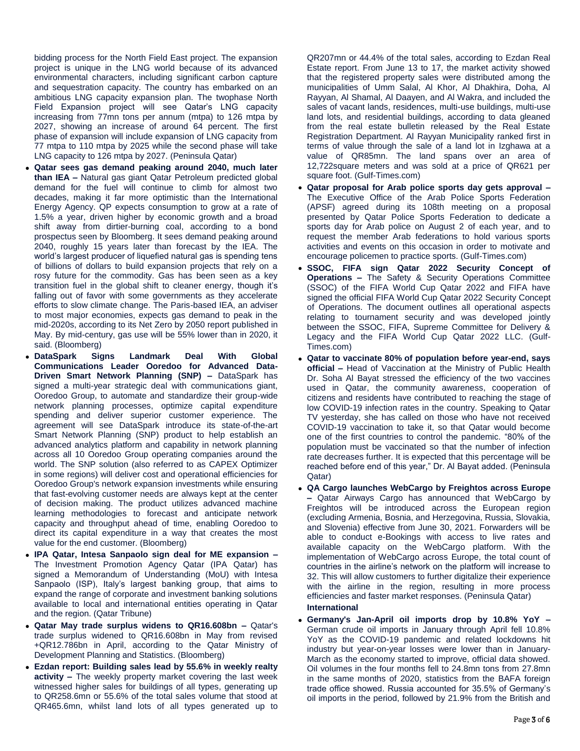bidding process for the North Field East project. The expansion project is unique in the LNG world because of its advanced environmental characters, including significant carbon capture and sequestration capacity. The country has embarked on an ambitious LNG capacity expansion plan. The twophase North Field Expansion project will see Qatar's LNG capacity increasing from 77mn tons per annum (mtpa) to 126 mtpa by 2027, showing an increase of around 64 percent. The first phase of expansion will include expansion of LNG capacity from 77 mtpa to 110 mtpa by 2025 while the second phase will take LNG capacity to 126 mtpa by 2027. (Peninsula Qatar)

- **Qatar sees gas demand peaking around 2040, much later than IEA –** Natural gas giant Qatar Petroleum predicted global demand for the fuel will continue to climb for almost two decades, making it far more optimistic than the International Energy Agency. QP expects consumption to grow at a rate of 1.5% a year, driven higher by economic growth and a broad shift away from dirtier-burning coal, according to a bond prospectus seen by Bloomberg. It sees demand peaking around 2040, roughly 15 years later than forecast by the IEA. The world's largest producer of liquefied natural gas is spending tens of billions of dollars to build expansion projects that rely on a rosy future for the commodity. Gas has been seen as a key transition fuel in the global shift to cleaner energy, though it's falling out of favor with some governments as they accelerate efforts to slow climate change. The Paris-based IEA, an adviser to most major economies, expects gas demand to peak in the mid-2020s, according to its Net Zero by 2050 report published in May. By mid-century, gas use will be 55% lower than in 2020, it said. (Bloomberg)
- **DataSpark Signs Landmark Deal With Global Communications Leader Ooredoo for Advanced Data-Driven Smart Network Planning (SNP) –** DataSpark has signed a multi-year strategic deal with communications giant, Ooredoo Group, to automate and standardize their group-wide network planning processes, optimize capital expenditure spending and deliver superior customer experience. The agreement will see DataSpark introduce its state-of-the-art Smart Network Planning (SNP) product to help establish an advanced analytics platform and capability in network planning across all 10 Ooredoo Group operating companies around the world. The SNP solution (also referred to as CAPEX Optimizer in some regions) will deliver cost and operational efficiencies for Ooredoo Group's network expansion investments while ensuring that fast-evolving customer needs are always kept at the center of decision making. The product utilizes advanced machine learning methodologies to forecast and anticipate network capacity and throughput ahead of time, enabling Ooredoo to direct its capital expenditure in a way that creates the most value for the end customer. (Bloomberg)
- **IPA Qatar, Intesa Sanpaolo sign deal for ME expansion –** The Investment Promotion Agency Qatar (IPA Qatar) has signed a Memorandum of Understanding (MoU) with Intesa Sanpaolo (ISP), Italy's largest banking group, that aims to expand the range of corporate and investment banking solutions available to local and international entities operating in Qatar and the region. (Qatar Tribune)
- **Qatar May trade surplus widens to QR16.608bn –** Qatar's trade surplus widened to QR16.608bn in May from revised +QR12.786bn in April, according to the Qatar Ministry of Development Planning and Statistics. (Bloomberg)
- **Ezdan report: Building sales lead by 55.6% in weekly realty activity –** The weekly property market covering the last week witnessed higher sales for buildings of all types, generating up to QR258.6mn or 55.6% of the total sales volume that stood at QR465.6mn, whilst land lots of all types generated up to

QR207mn or 44.4% of the total sales, according to Ezdan Real Estate report. From June 13 to 17, the market activity showed that the registered property sales were distributed among the municipalities of Umm Salal, Al Khor, Al Dhakhira, Doha, Al Rayyan, Al Shamal, Al Daayen, and Al Wakra, and included the sales of vacant lands, residences, multi-use buildings, multi-use land lots, and residential buildings, according to data gleaned from the real estate bulletin released by the Real Estate Registration Department. Al Rayyan Municipality ranked first in terms of value through the sale of a land lot in Izghawa at a value of QR85mn. The land spans over an area of 12,722square meters and was sold at a price of QR621 per square foot. (Gulf-Times.com)

- **Qatar proposal for Arab police sports day gets approval –** The Executive Office of the Arab Police Sports Federation (APSF) agreed during its 108th meeting on a proposal presented by Qatar Police Sports Federation to dedicate a sports day for Arab police on August 2 of each year, and to request the member Arab federations to hold various sports activities and events on this occasion in order to motivate and encourage policemen to practice sports. (Gulf-Times.com)
- **SSOC, FIFA sign Qatar 2022 Security Concept of Operations –** The Safety & Security Operations Committee (SSOC) of the FIFA World Cup Qatar 2022 and FIFA have signed the official FIFA World Cup Qatar 2022 Security Concept of Operations. The document outlines all operational aspects relating to tournament security and was developed jointly between the SSOC, FIFA, Supreme Committee for Delivery & Legacy and the FIFA World Cup Qatar 2022 LLC. (Gulf-Times.com)
- **Qatar to vaccinate 80% of population before year-end, says official –** Head of Vaccination at the Ministry of Public Health Dr. Soha Al Bayat stressed the efficiency of the two vaccines used in Qatar, the community awareness, cooperation of citizens and residents have contributed to reaching the stage of low COVID-19 infection rates in the country. Speaking to Qatar TV yesterday, she has called on those who have not received COVID-19 vaccination to take it, so that Qatar would become one of the first countries to control the pandemic. "80% of the population must be vaccinated so that the number of infection rate decreases further. It is expected that this percentage will be reached before end of this year," Dr. Al Bayat added. (Peninsula Qatar)
- **QA Cargo launches WebCargo by Freightos across Europe –** Qatar Airways Cargo has announced that WebCargo by Freightos will be introduced across the European region (excluding Armenia, Bosnia, and Herzegovina, Russia, Slovakia, and Slovenia) effective from June 30, 2021. Forwarders will be able to conduct e-Bookings with access to live rates and available capacity on the WebCargo platform. With the implementation of WebCargo across Europe, the total count of countries in the airline's network on the platform will increase to 32. This will allow customers to further digitalize their experience with the airline in the region, resulting in more process efficiencies and faster market responses. (Peninsula Qatar) **International**
- **Germany's Jan-April oil imports drop by 10.8% YoY –** German crude oil imports in January through April fell 10.8% YoY as the COVID-19 pandemic and related lockdowns hit industry but year-on-year losses were lower than in January-March as the economy started to improve, official data showed. Oil volumes in the four months fell to 24.8mn tons from 27.8mn in the same months of 2020, statistics from the BAFA foreign trade office showed. Russia accounted for 35.5% of Germany's oil imports in the period, followed by 21.9% from the British and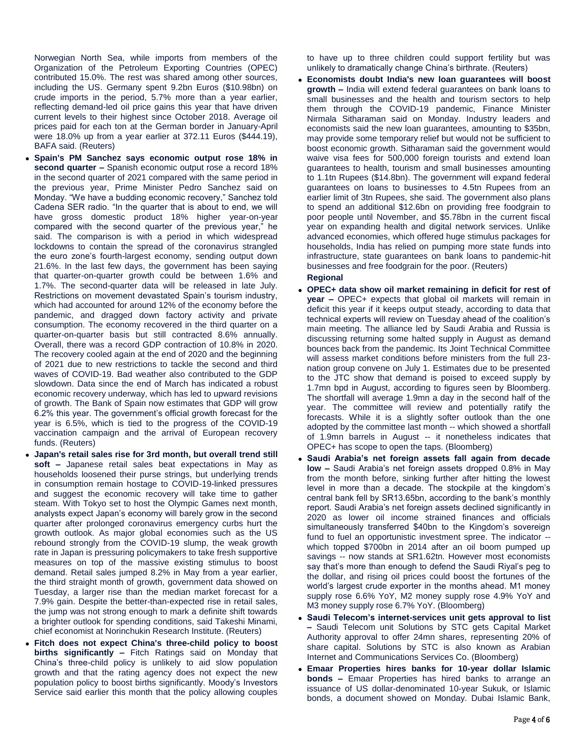Norwegian North Sea, while imports from members of the Organization of the Petroleum Exporting Countries (OPEC) contributed 15.0%. The rest was shared among other sources, including the US. Germany spent 9.2bn Euros (\$10.98bn) on crude imports in the period, 5.7% more than a year earlier, reflecting demand-led oil price gains this year that have driven current levels to their highest since October 2018. Average oil prices paid for each ton at the German border in January-April were 18.0% up from a year earlier at 372.11 Euros (\$444.19), BAFA said. (Reuters)

- **Spain's PM Sanchez says economic output rose 18% in second quarter –** Spanish economic output rose a record 18% in the second quarter of 2021 compared with the same period in the previous year, Prime Minister Pedro Sanchez said on Monday. "We have a budding economic recovery," Sanchez told Cadena SER radio. "In the quarter that is about to end, we will have gross domestic product 18% higher year-on-year compared with the second quarter of the previous year," he said. The comparison is with a period in which widespread lockdowns to contain the spread of the coronavirus strangled the euro zone's fourth-largest economy, sending output down 21.6%. In the last few days, the government has been saying that quarter-on-quarter growth could be between 1.6% and 1.7%. The second-quarter data will be released in late July. Restrictions on movement devastated Spain's tourism industry, which had accounted for around 12% of the economy before the pandemic, and dragged down factory activity and private consumption. The economy recovered in the third quarter on a quarter-on-quarter basis but still contracted 8.6% annually. Overall, there was a record GDP contraction of 10.8% in 2020. The recovery cooled again at the end of 2020 and the beginning of 2021 due to new restrictions to tackle the second and third waves of COVID-19. Bad weather also contributed to the GDP slowdown. Data since the end of March has indicated a robust economic recovery underway, which has led to upward revisions of growth. The Bank of Spain now estimates that GDP will grow 6.2% this year. The government's official growth forecast for the year is 6.5%, which is tied to the progress of the COVID-19 vaccination campaign and the arrival of European recovery funds. (Reuters)
- **Japan's retail sales rise for 3rd month, but overall trend still soft –** Japanese retail sales beat expectations in May as households loosened their purse strings, but underlying trends in consumption remain hostage to COVID-19-linked pressures and suggest the economic recovery will take time to gather steam. With Tokyo set to host the Olympic Games next month, analysts expect Japan's economy will barely grow in the second quarter after prolonged coronavirus emergency curbs hurt the growth outlook. As major global economies such as the US rebound strongly from the COVID-19 slump, the weak growth rate in Japan is pressuring policymakers to take fresh supportive measures on top of the massive existing stimulus to boost demand. Retail sales jumped 8.2% in May from a year earlier, the third straight month of growth, government data showed on Tuesday, a larger rise than the median market forecast for a 7.9% gain. Despite the better-than-expected rise in retail sales, the jump was not strong enough to mark a definite shift towards a brighter outlook for spending conditions, said Takeshi Minami, chief economist at Norinchukin Research Institute. (Reuters)
- **Fitch does not expect China's three-child policy to boost births significantly –** Fitch Ratings said on Monday that China's three-child policy is unlikely to aid slow population growth and that the rating agency does not expect the new population policy to boost births significantly. Moody's Investors Service said earlier this month that the policy allowing couples

to have up to three children could support fertility but was unlikely to dramatically change China's birthrate. (Reuters)

- **Economists doubt India's new loan guarantees will boost growth –** India will extend federal guarantees on bank loans to small businesses and the health and tourism sectors to help them through the COVID-19 pandemic, Finance Minister Nirmala Sitharaman said on Monday. Industry leaders and economists said the new loan guarantees, amounting to \$35bn, may provide some temporary relief but would not be sufficient to boost economic growth. Sitharaman said the government would waive visa fees for 500,000 foreign tourists and extend loan guarantees to health, tourism and small businesses amounting to 1.1tn Rupees (\$14.8bn). The government will expand federal guarantees on loans to businesses to 4.5tn Rupees from an earlier limit of 3tn Rupees, she said. The government also plans to spend an additional \$12.6bn on providing free foodgrain to poor people until November, and \$5.78bn in the current fiscal year on expanding health and digital network services. Unlike advanced economies, which offered huge stimulus packages for households, India has relied on pumping more state funds into infrastructure, state guarantees on bank loans to pandemic-hit businesses and free foodgrain for the poor. (Reuters)
	- **Regional**
- **OPEC+ data show oil market remaining in deficit for rest of year –** OPEC+ expects that global oil markets will remain in deficit this year if it keeps output steady, according to data that technical experts will review on Tuesday ahead of the coalition's main meeting. The alliance led by Saudi Arabia and Russia is discussing returning some halted supply in August as demand bounces back from the pandemic. Its Joint Technical Committee will assess market conditions before ministers from the full 23 nation group convene on July 1. Estimates due to be presented to the JTC show that demand is poised to exceed supply by 1.7mn bpd in August, according to figures seen by Bloomberg. The shortfall will average 1.9mn a day in the second half of the year. The committee will review and potentially ratify the forecasts. While it is a slightly softer outlook than the one adopted by the committee last month -- which showed a shortfall of 1.9mn barrels in August -- it nonetheless indicates that OPEC+ has scope to open the taps. (Bloomberg)
- **Saudi Arabia's net foreign assets fall again from decade low –** Saudi Arabia's net foreign assets dropped 0.8% in May from the month before, sinking further after hitting the lowest level in more than a decade. The stockpile at the kingdom's central bank fell by SR13.65bn, according to the bank's monthly report. Saudi Arabia's net foreign assets declined significantly in 2020 as lower oil income strained finances and officials simultaneously transferred \$40bn to the Kingdom's sovereign fund to fuel an opportunistic investment spree. The indicator - which topped \$700bn in 2014 after an oil boom pumped up savings -- now stands at SR1.62tn. However most economists say that's more than enough to defend the Saudi Riyal's peg to the dollar, and rising oil prices could boost the fortunes of the world's largest crude exporter in the months ahead. M1 money supply rose 6.6% YoY, M2 money supply rose 4.9% YoY and M3 money supply rose 6.7% YoY. (Bloomberg)
- **Saudi Telecom's internet-services unit gets approval to list –** Saudi Telecom unit Solutions by STC gets Capital Market Authority approval to offer 24mn shares, representing 20% of share capital. Solutions by STC is also known as Arabian Internet and Communications Services Co. (Bloomberg)
- **Emaar Properties hires banks for 10-year dollar Islamic bonds –** Emaar Properties has hired banks to arrange an issuance of US dollar-denominated 10-year Sukuk, or Islamic bonds, a document showed on Monday. Dubai Islamic Bank,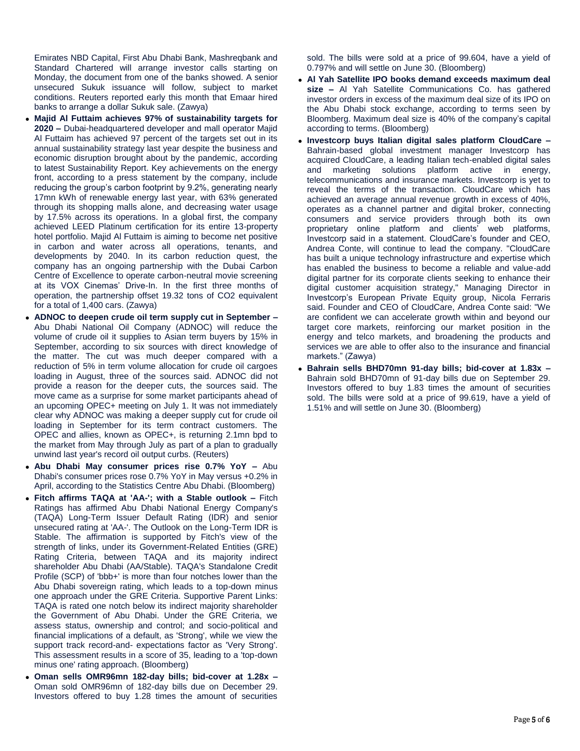Emirates NBD Capital, First Abu Dhabi Bank, Mashreqbank and Standard Chartered will arrange investor calls starting on Monday, the document from one of the banks showed. A senior unsecured Sukuk issuance will follow, subject to market conditions. Reuters reported early this month that Emaar hired banks to arrange a dollar Sukuk sale. (Zawya)

- **Majid Al Futtaim achieves 97% of sustainability targets for 2020 –** Dubai-headquartered developer and mall operator Majid Al Futtaim has achieved 97 percent of the targets set out in its annual sustainability strategy last year despite the business and economic disruption brought about by the pandemic, according to latest Sustainability Report. Key achievements on the energy front, according to a press statement by the company, include reducing the group's carbon footprint by 9.2%, generating nearly 17mn kWh of renewable energy last year, with 63% generated through its shopping malls alone, and decreasing water usage by 17.5% across its operations. In a global first, the company achieved LEED Platinum certification for its entire 13-property hotel portfolio. Majid Al Futtaim is aiming to become net positive in carbon and water across all operations, tenants, and developments by 2040. In its carbon reduction quest, the company has an ongoing partnership with the Dubai Carbon Centre of Excellence to operate carbon-neutral movie screening at its VOX Cinemas' Drive-In. In the first three months of operation, the partnership offset 19.32 tons of CO2 equivalent for a total of 1,400 cars. (Zawya)
- **ADNOC to deepen crude oil term supply cut in September –** Abu Dhabi National Oil Company (ADNOC) will reduce the volume of crude oil it supplies to Asian term buyers by 15% in September, according to six sources with direct knowledge of the matter. The cut was much deeper compared with a reduction of 5% in term volume allocation for crude oil cargoes loading in August, three of the sources said. ADNOC did not provide a reason for the deeper cuts, the sources said. The move came as a surprise for some market participants ahead of an upcoming OPEC+ meeting on July 1. It was not immediately clear why ADNOC was making a deeper supply cut for crude oil loading in September for its term contract customers. The OPEC and allies, known as OPEC+, is returning 2.1mn bpd to the market from May through July as part of a plan to gradually unwind last year's record oil output curbs. (Reuters)
- **Abu Dhabi May consumer prices rise 0.7% YoY –** Abu Dhabi's consumer prices rose 0.7% YoY in May versus +0.2% in April, according to the Statistics Centre Abu Dhabi. (Bloomberg)
- **Fitch affirms TAQA at 'AA-'; with a Stable outlook –** Fitch Ratings has affirmed Abu Dhabi National Energy Company's (TAQA) Long-Term Issuer Default Rating (IDR) and senior unsecured rating at 'AA-'. The Outlook on the Long-Term IDR is Stable. The affirmation is supported by Fitch's view of the strength of links, under its Government-Related Entities (GRE) Rating Criteria, between TAQA and its majority indirect shareholder Abu Dhabi (AA/Stable). TAQA's Standalone Credit Profile (SCP) of 'bbb+' is more than four notches lower than the Abu Dhabi sovereign rating, which leads to a top-down minus one approach under the GRE Criteria. Supportive Parent Links: TAQA is rated one notch below its indirect majority shareholder the Government of Abu Dhabi. Under the GRE Criteria, we assess status, ownership and control; and socio-political and financial implications of a default, as 'Strong', while we view the support track record-and- expectations factor as 'Very Strong'. This assessment results in a score of 35, leading to a 'top-down minus one' rating approach. (Bloomberg)
- **Oman sells OMR96mn 182-day bills; bid-cover at 1.28x –** Oman sold OMR96mn of 182-day bills due on December 29. Investors offered to buy 1.28 times the amount of securities

sold. The bills were sold at a price of 99.604, have a yield of 0.797% and will settle on June 30. (Bloomberg)

- **Al Yah Satellite IPO books demand exceeds maximum deal size –** Al Yah Satellite Communications Co. has gathered investor orders in excess of the maximum deal size of its IPO on the Abu Dhabi stock exchange, according to terms seen by Bloomberg. Maximum deal size is 40% of the company's capital according to terms. (Bloomberg)
- **Investcorp buys Italian digital sales platform CloudCare –** Bahrain-based global investment manager Investcorp has acquired CloudCare, a leading Italian tech-enabled digital sales and marketing solutions platform active in energy, telecommunications and insurance markets. Investcorp is yet to reveal the terms of the transaction. CloudCare which has achieved an average annual revenue growth in excess of 40%, operates as a channel partner and digital broker, connecting consumers and service providers through both its own proprietary online platform and clients' web platforms, Investcorp said in a statement. CloudCare's founder and CEO, Andrea Conte, will continue to lead the company. "CloudCare has built a unique technology infrastructure and expertise which has enabled the business to become a reliable and value-add digital partner for its corporate clients seeking to enhance their digital customer acquisition strategy," Managing Director in Investcorp's European Private Equity group, Nicola Ferraris said. Founder and CEO of CloudCare, Andrea Conte said: "We are confident we can accelerate growth within and beyond our target core markets, reinforcing our market position in the energy and telco markets, and broadening the products and services we are able to offer also to the insurance and financial markets." (Zawya)
- **Bahrain sells BHD70mn 91-day bills; bid-cover at 1.83x –** Bahrain sold BHD70mn of 91-day bills due on September 29. Investors offered to buy 1.83 times the amount of securities sold. The bills were sold at a price of 99.619, have a yield of 1.51% and will settle on June 30. (Bloomberg)